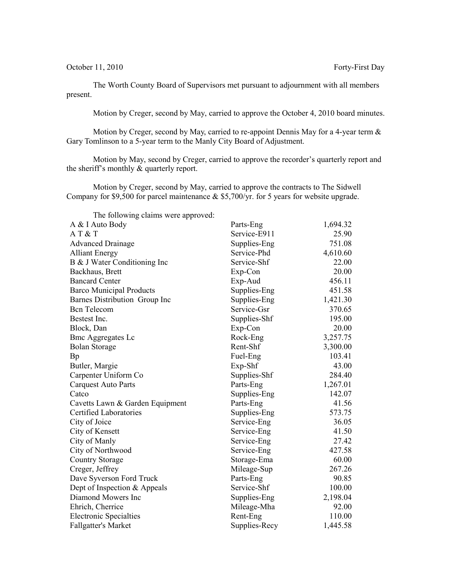October 11, 2010 Forty-First Day

The Worth County Board of Supervisors met pursuant to adjournment with all members present.

Motion by Creger, second by May, carried to approve the October 4, 2010 board minutes.

Motion by Creger, second by May, carried to re-appoint Dennis May for a 4-year term & Gary Tomlinson to a 5-year term to the Manly City Board of Adjustment.

Motion by May, second by Creger, carried to approve the recorder's quarterly report and the sheriff's monthly & quarterly report.

Motion by Creger, second by May, carried to approve the contracts to The Sidwell Company for \$9,500 for parcel maintenance  $&$  \$5,700/yr. for 5 years for website upgrade.

| The following claims were approved: |               |          |
|-------------------------------------|---------------|----------|
| A & I Auto Body                     | Parts-Eng     | 1,694.32 |
| AT & T                              | Service-E911  | 25.90    |
| <b>Advanced Drainage</b>            | Supplies-Eng  | 751.08   |
| <b>Alliant Energy</b>               | Service-Phd   | 4,610.60 |
| B & J Water Conditioning Inc        | Service-Shf   | 22.00    |
| Backhaus, Brett                     | Exp-Con       | 20.00    |
| <b>Bancard Center</b>               | Exp-Aud       | 456.11   |
| <b>Barco Municipal Products</b>     | Supplies-Eng  | 451.58   |
| Barnes Distribution Group Inc       | Supplies-Eng  | 1,421.30 |
| <b>Bcn</b> Telecom                  | Service-Gsr   | 370.65   |
| Bestest Inc.                        | Supplies-Shf  | 195.00   |
| Block, Dan                          | Exp-Con       | 20.00    |
| <b>Bmc Aggregates Lc</b>            | Rock-Eng      | 3,257.75 |
| <b>Bolan Storage</b>                | Rent-Shf      | 3,300.00 |
| Bp                                  | Fuel-Eng      | 103.41   |
| Butler, Margie                      | Exp-Shf       | 43.00    |
| Carpenter Uniform Co                | Supplies-Shf  | 284.40   |
| <b>Carquest Auto Parts</b>          | Parts-Eng     | 1,267.01 |
| Catco                               | Supplies-Eng  | 142.07   |
| Cavetts Lawn & Garden Equipment     | Parts-Eng     | 41.56    |
| Certified Laboratories              | Supplies-Eng  | 573.75   |
| City of Joice                       | Service-Eng   | 36.05    |
| City of Kensett                     | Service-Eng   | 41.50    |
| City of Manly                       | Service-Eng   | 27.42    |
| City of Northwood                   | Service-Eng   | 427.58   |
| <b>Country Storage</b>              | Storage-Ema   | 60.00    |
| Creger, Jeffrey                     | Mileage-Sup   | 267.26   |
| Dave Syverson Ford Truck            | Parts-Eng     | 90.85    |
| Dept of Inspection & Appeals        | Service-Shf   | 100.00   |
| Diamond Mowers Inc                  | Supplies-Eng  | 2,198.04 |
| Ehrich, Cherrice                    | Mileage-Mha   | 92.00    |
| <b>Electronic Specialties</b>       | Rent-Eng      | 110.00   |
| <b>Fallgatter's Market</b>          | Supplies-Recy | 1,445.58 |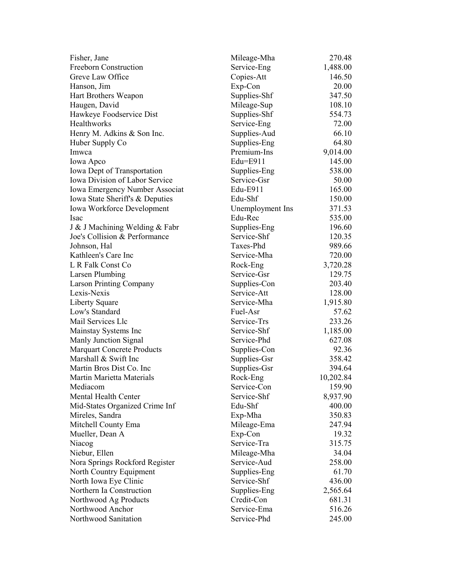| Fisher, Jane                      | Mileage-Mha      | 270.48    |
|-----------------------------------|------------------|-----------|
| <b>Freeborn Construction</b>      | Service-Eng      | 1,488.00  |
| Greve Law Office                  | Copies-Att       | 146.50    |
| Hanson, Jim                       | Exp-Con          | 20.00     |
| Hart Brothers Weapon              | Supplies-Shf     | 347.50    |
| Haugen, David                     | Mileage-Sup      | 108.10    |
| Hawkeye Foodservice Dist          | Supplies-Shf     | 554.73    |
| <b>Healthworks</b>                | Service-Eng      | 72.00     |
| Henry M. Adkins & Son Inc.        | Supplies-Aud     | 66.10     |
| Huber Supply Co                   | Supplies-Eng     | 64.80     |
| Imwca                             | Premium-Ins      | 9,014.00  |
| Iowa Apco                         | Edu=E911         | 145.00    |
| Iowa Dept of Transportation       | Supplies-Eng     | 538.00    |
| Iowa Division of Labor Service    | Service-Gsr      | 50.00     |
| Iowa Emergency Number Associat    | Edu-E911         | 165.00    |
| Iowa State Sheriff's & Deputies   | Edu-Shf          | 150.00    |
| <b>Iowa Workforce Development</b> | Unemployment Ins | 371.53    |
| <b>Isac</b>                       | Edu-Rec          | 535.00    |
| J & J Machining Welding & Fabr    | Supplies-Eng     | 196.60    |
| Joe's Collision & Performance     | Service-Shf      | 120.35    |
| Johnson, Hal                      | Taxes-Phd        | 989.66    |
| Kathleen's Care Inc               | Service-Mha      | 720.00    |
| L R Falk Const Co                 | Rock-Eng         | 3,720.28  |
| Larsen Plumbing                   | Service-Gsr      | 129.75    |
| <b>Larson Printing Company</b>    | Supplies-Con     | 203.40    |
| Lexis-Nexis                       | Service-Att      | 128.00    |
| Liberty Square                    | Service-Mha      | 1,915.80  |
| Low's Standard                    | Fuel-Asr         | 57.62     |
| Mail Services Llc                 | Service-Trs      | 233.26    |
| Mainstay Systems Inc              | Service-Shf      | 1,185.00  |
| Manly Junction Signal             | Service-Phd      | 627.08    |
| <b>Marquart Concrete Products</b> | Supplies-Con     | 92.36     |
| Marshall & Swift Inc              | Supplies-Gsr     | 358.42    |
| Martin Bros Dist Co. Inc          | Supplies-Gsr     | 394.64    |
| Martin Marietta Materials         | Rock-Eng         | 10,202.84 |
| Mediacom                          | Service-Con      | 159.90    |
| Mental Health Center              | Service-Shf      | 8,937.90  |
| Mid-States Organized Crime Inf    | Edu-Shf          | 400.00    |
| Mireles, Sandra                   | Exp-Mha          | 350.83    |
| Mitchell County Ema               | Mileage-Ema      | 247.94    |
| Mueller, Dean A                   | Exp-Con          | 19.32     |
| Niacog                            | Service-Tra      | 315.75    |
| Niebur, Ellen                     | Mileage-Mha      | 34.04     |
| Nora Springs Rockford Register    | Service-Aud      | 258.00    |
| North Country Equipment           | Supplies-Eng     | 61.70     |
| North Iowa Eye Clinic             | Service-Shf      | 436.00    |
| Northern Ia Construction          | Supplies-Eng     | 2,565.64  |
| Northwood Ag Products             | Credit-Con       | 681.31    |
| Northwood Anchor                  | Service-Ema      | 516.26    |
| Northwood Sanitation              | Service-Phd      | 245.00    |